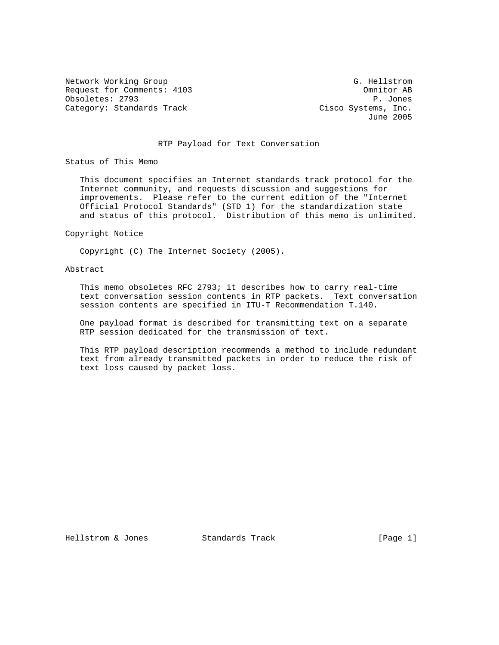Network Working Group G. Hellstrom Request for Comments: 4103 Comments: 4103 Obsoletes: 2793 P. Jones Category: Standards Track Cisco Systems, Inc.

June 2005

### RTP Payload for Text Conversation

Status of This Memo

 This document specifies an Internet standards track protocol for the Internet community, and requests discussion and suggestions for improvements. Please refer to the current edition of the "Internet Official Protocol Standards" (STD 1) for the standardization state and status of this protocol. Distribution of this memo is unlimited.

#### Copyright Notice

Copyright (C) The Internet Society (2005).

### Abstract

 This memo obsoletes RFC 2793; it describes how to carry real-time text conversation session contents in RTP packets. Text conversation session contents are specified in ITU-T Recommendation T.140.

 One payload format is described for transmitting text on a separate RTP session dedicated for the transmission of text.

 This RTP payload description recommends a method to include redundant text from already transmitted packets in order to reduce the risk of text loss caused by packet loss.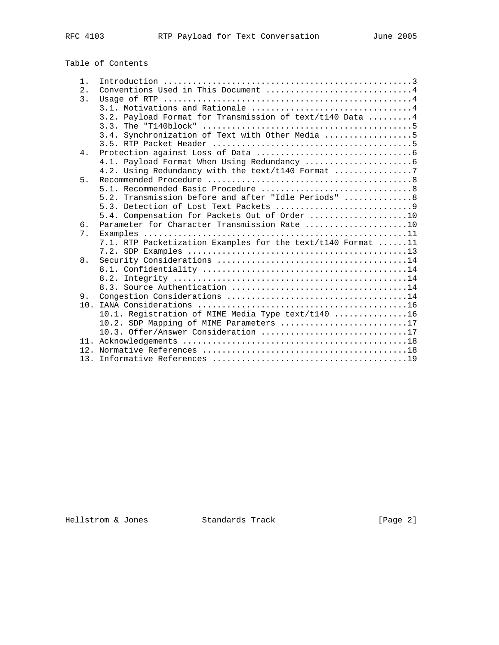# Table of Contents

| $1$ .     |                                                             |
|-----------|-------------------------------------------------------------|
| 2.        | Conventions Used in This Document 4                         |
| 3.        |                                                             |
|           |                                                             |
|           | 3.2. Payload Format for Transmission of text/t140 Data 4    |
|           |                                                             |
|           | 3.4. Synchronization of Text with Other Media 5             |
|           |                                                             |
| $4 \cdot$ |                                                             |
|           |                                                             |
|           | 4.2. Using Redundancy with the text/t140 Format 7           |
| 5.        |                                                             |
|           |                                                             |
|           | 5.2. Transmission before and after "Idle Periods"  8        |
|           |                                                             |
|           | 5.4. Compensation for Packets Out of Order 10               |
| б.        | Parameter for Character Transmission Rate 10                |
| 7.        |                                                             |
|           | 7.1. RTP Packetization Examples for the text/t140 Format 11 |
|           |                                                             |
| 8.        |                                                             |
|           |                                                             |
|           |                                                             |
|           |                                                             |
| 9.        |                                                             |
| 10.       |                                                             |
|           | 10.1. Registration of MIME Media Type text/t140 16          |
|           | 10.2. SDP Mapping of MIME Parameters 17                     |
|           | 10.3. Offer/Answer Consideration 17                         |
|           |                                                             |
|           |                                                             |
|           |                                                             |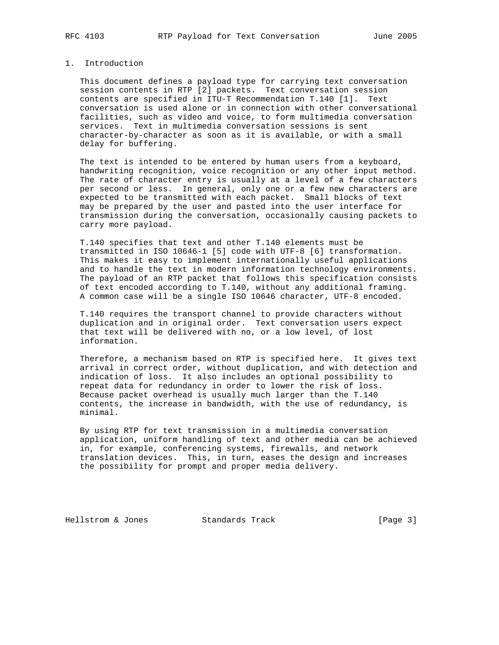### 1. Introduction

 This document defines a payload type for carrying text conversation session contents in RTP [2] packets. Text conversation session contents are specified in ITU-T Recommendation T.140 [1]. Text conversation is used alone or in connection with other conversational facilities, such as video and voice, to form multimedia conversation services. Text in multimedia conversation sessions is sent character-by-character as soon as it is available, or with a small delay for buffering.

 The text is intended to be entered by human users from a keyboard, handwriting recognition, voice recognition or any other input method. The rate of character entry is usually at a level of a few characters per second or less. In general, only one or a few new characters are expected to be transmitted with each packet. Small blocks of text may be prepared by the user and pasted into the user interface for transmission during the conversation, occasionally causing packets to carry more payload.

 T.140 specifies that text and other T.140 elements must be transmitted in ISO 10646-1 [5] code with UTF-8 [6] transformation. This makes it easy to implement internationally useful applications and to handle the text in modern information technology environments. The payload of an RTP packet that follows this specification consists of text encoded according to T.140, without any additional framing. A common case will be a single ISO 10646 character, UTF-8 encoded.

 T.140 requires the transport channel to provide characters without duplication and in original order. Text conversation users expect that text will be delivered with no, or a low level, of lost information.

 Therefore, a mechanism based on RTP is specified here. It gives text arrival in correct order, without duplication, and with detection and indication of loss. It also includes an optional possibility to repeat data for redundancy in order to lower the risk of loss. Because packet overhead is usually much larger than the T.140 contents, the increase in bandwidth, with the use of redundancy, is minimal.

 By using RTP for text transmission in a multimedia conversation application, uniform handling of text and other media can be achieved in, for example, conferencing systems, firewalls, and network translation devices. This, in turn, eases the design and increases the possibility for prompt and proper media delivery.

Hellstrom & Jones Standards Track [Page 3]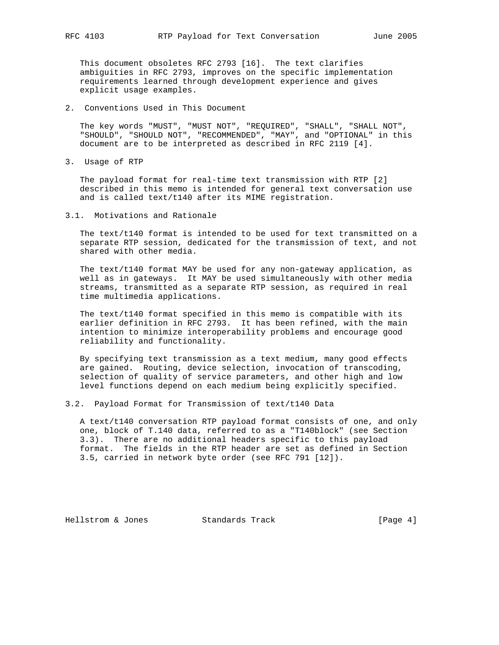This document obsoletes RFC 2793 [16]. The text clarifies ambiguities in RFC 2793, improves on the specific implementation requirements learned through development experience and gives explicit usage examples.

2. Conventions Used in This Document

 The key words "MUST", "MUST NOT", "REQUIRED", "SHALL", "SHALL NOT", "SHOULD", "SHOULD NOT", "RECOMMENDED", "MAY", and "OPTIONAL" in this document are to be interpreted as described in RFC 2119 [4].

3. Usage of RTP

 The payload format for real-time text transmission with RTP [2] described in this memo is intended for general text conversation use and is called text/t140 after its MIME registration.

3.1. Motivations and Rationale

 The text/t140 format is intended to be used for text transmitted on a separate RTP session, dedicated for the transmission of text, and not shared with other media.

 The text/t140 format MAY be used for any non-gateway application, as well as in gateways. It MAY be used simultaneously with other media streams, transmitted as a separate RTP session, as required in real time multimedia applications.

 The text/t140 format specified in this memo is compatible with its earlier definition in RFC 2793. It has been refined, with the main intention to minimize interoperability problems and encourage good reliability and functionality.

 By specifying text transmission as a text medium, many good effects are gained. Routing, device selection, invocation of transcoding, selection of quality of service parameters, and other high and low level functions depend on each medium being explicitly specified.

3.2. Payload Format for Transmission of text/t140 Data

 A text/t140 conversation RTP payload format consists of one, and only one, block of T.140 data, referred to as a "T140block" (see Section 3.3). There are no additional headers specific to this payload format. The fields in the RTP header are set as defined in Section 3.5, carried in network byte order (see RFC 791 [12]).

Hellstrom & Jones Standards Track [Page 4]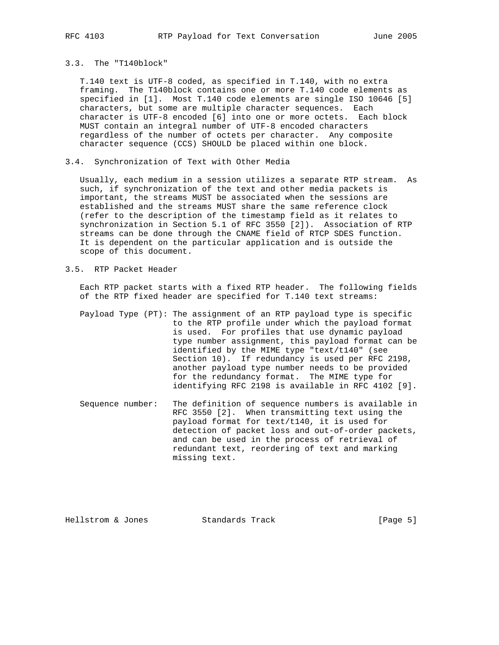### 3.3. The "T140block"

 T.140 text is UTF-8 coded, as specified in T.140, with no extra framing. The T140block contains one or more T.140 code elements as specified in [1]. Most T.140 code elements are single ISO 10646 [5] characters, but some are multiple character sequences. Each character is UTF-8 encoded [6] into one or more octets. Each block MUST contain an integral number of UTF-8 encoded characters regardless of the number of octets per character. Any composite character sequence (CCS) SHOULD be placed within one block.

### 3.4. Synchronization of Text with Other Media

 Usually, each medium in a session utilizes a separate RTP stream. As such, if synchronization of the text and other media packets is important, the streams MUST be associated when the sessions are established and the streams MUST share the same reference clock (refer to the description of the timestamp field as it relates to synchronization in Section 5.1 of RFC 3550 [2]). Association of RTP streams can be done through the CNAME field of RTCP SDES function. It is dependent on the particular application and is outside the scope of this document.

#### 3.5. RTP Packet Header

 Each RTP packet starts with a fixed RTP header. The following fields of the RTP fixed header are specified for T.140 text streams:

- Payload Type (PT): The assignment of an RTP payload type is specific to the RTP profile under which the payload format is used. For profiles that use dynamic payload type number assignment, this payload format can be identified by the MIME type "text/t140" (see Section 10). If redundancy is used per RFC 2198, another payload type number needs to be provided for the redundancy format. The MIME type for identifying RFC 2198 is available in RFC 4102 [9].
- Sequence number: The definition of sequence numbers is available in RFC 3550 [2]. When transmitting text using the payload format for text/t140, it is used for detection of packet loss and out-of-order packets, and can be used in the process of retrieval of redundant text, reordering of text and marking missing text.

Hellstrom & Jones Standards Track [Page 5]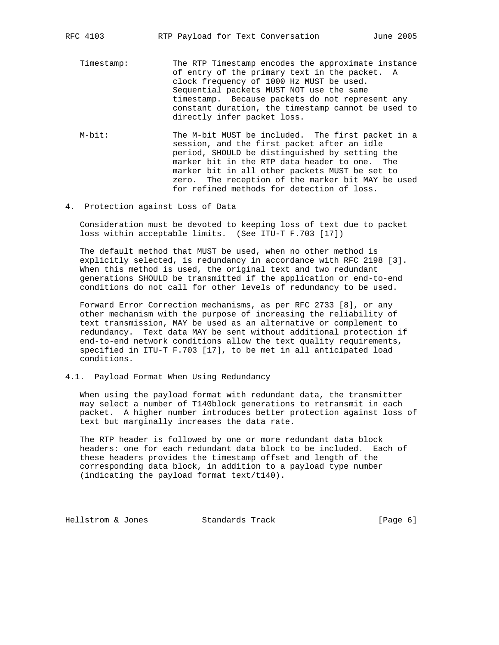- Timestamp: The RTP Timestamp encodes the approximate instance of entry of the primary text in the packet. A clock frequency of 1000 Hz MUST be used. Sequential packets MUST NOT use the same timestamp. Because packets do not represent any constant duration, the timestamp cannot be used to directly infer packet loss.
- M-bit: The M-bit MUST be included. The first packet in a session, and the first packet after an idle period, SHOULD be distinguished by setting the marker bit in the RTP data header to one. The marker bit in all other packets MUST be set to zero. The reception of the marker bit MAY be used for refined methods for detection of loss.
- 4. Protection against Loss of Data

 Consideration must be devoted to keeping loss of text due to packet loss within acceptable limits. (See ITU-T F.703 [17])

 The default method that MUST be used, when no other method is explicitly selected, is redundancy in accordance with RFC 2198 [3]. When this method is used, the original text and two redundant generations SHOULD be transmitted if the application or end-to-end conditions do not call for other levels of redundancy to be used.

 Forward Error Correction mechanisms, as per RFC 2733 [8], or any other mechanism with the purpose of increasing the reliability of text transmission, MAY be used as an alternative or complement to redundancy. Text data MAY be sent without additional protection if end-to-end network conditions allow the text quality requirements, specified in ITU-T F.703 [17], to be met in all anticipated load conditions.

4.1. Payload Format When Using Redundancy

 When using the payload format with redundant data, the transmitter may select a number of T140block generations to retransmit in each packet. A higher number introduces better protection against loss of text but marginally increases the data rate.

 The RTP header is followed by one or more redundant data block headers: one for each redundant data block to be included. Each of these headers provides the timestamp offset and length of the corresponding data block, in addition to a payload type number (indicating the payload format text/t140).

Hellstrom & Jones Standards Track [Page 6]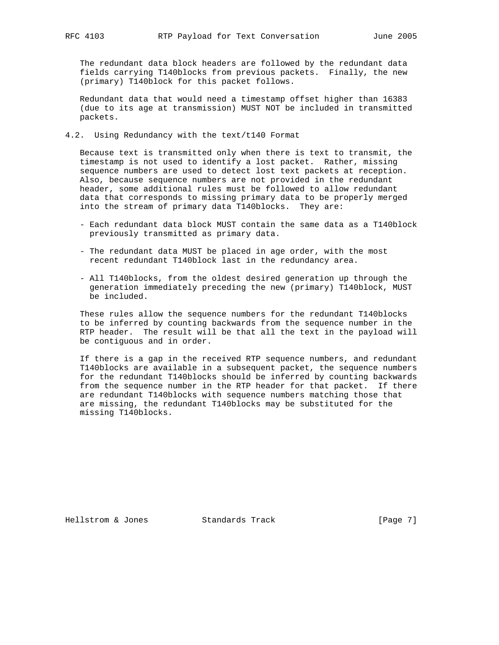The redundant data block headers are followed by the redundant data fields carrying T140blocks from previous packets. Finally, the new (primary) T140block for this packet follows.

 Redundant data that would need a timestamp offset higher than 16383 (due to its age at transmission) MUST NOT be included in transmitted packets.

4.2. Using Redundancy with the text/t140 Format

 Because text is transmitted only when there is text to transmit, the timestamp is not used to identify a lost packet. Rather, missing sequence numbers are used to detect lost text packets at reception. Also, because sequence numbers are not provided in the redundant header, some additional rules must be followed to allow redundant data that corresponds to missing primary data to be properly merged into the stream of primary data T140blocks. They are:

- Each redundant data block MUST contain the same data as a T140block previously transmitted as primary data.
- The redundant data MUST be placed in age order, with the most recent redundant T140block last in the redundancy area.
- All T140blocks, from the oldest desired generation up through the generation immediately preceding the new (primary) T140block, MUST be included.

 These rules allow the sequence numbers for the redundant T140blocks to be inferred by counting backwards from the sequence number in the RTP header. The result will be that all the text in the payload will be contiguous and in order.

 If there is a gap in the received RTP sequence numbers, and redundant T140blocks are available in a subsequent packet, the sequence numbers for the redundant T140blocks should be inferred by counting backwards from the sequence number in the RTP header for that packet. If there are redundant T140blocks with sequence numbers matching those that are missing, the redundant T140blocks may be substituted for the missing T140blocks.

Hellstrom & Jones Standards Track [Page 7]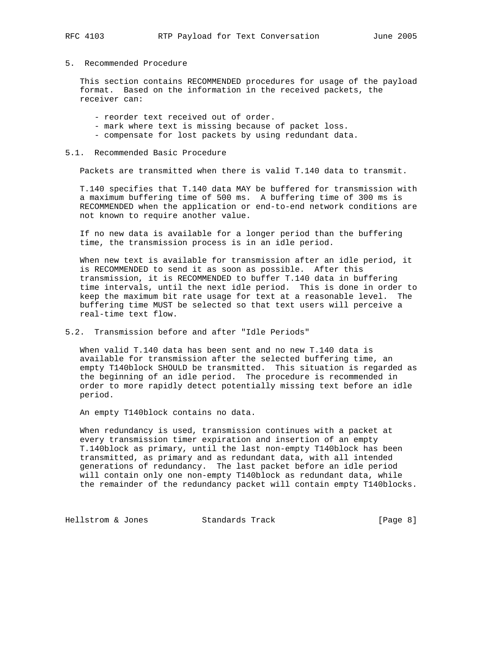### 5. Recommended Procedure

 This section contains RECOMMENDED procedures for usage of the payload format. Based on the information in the received packets, the receiver can:

- reorder text received out of order.
- mark where text is missing because of packet loss.
- compensate for lost packets by using redundant data.

#### 5.1. Recommended Basic Procedure

Packets are transmitted when there is valid T.140 data to transmit.

 T.140 specifies that T.140 data MAY be buffered for transmission with a maximum buffering time of 500 ms. A buffering time of 300 ms is RECOMMENDED when the application or end-to-end network conditions are not known to require another value.

 If no new data is available for a longer period than the buffering time, the transmission process is in an idle period.

 When new text is available for transmission after an idle period, it is RECOMMENDED to send it as soon as possible. After this transmission, it is RECOMMENDED to buffer T.140 data in buffering time intervals, until the next idle period. This is done in order to keep the maximum bit rate usage for text at a reasonable level. The buffering time MUST be selected so that text users will perceive a real-time text flow.

5.2. Transmission before and after "Idle Periods"

 When valid T.140 data has been sent and no new T.140 data is available for transmission after the selected buffering time, an empty T140block SHOULD be transmitted. This situation is regarded as the beginning of an idle period. The procedure is recommended in order to more rapidly detect potentially missing text before an idle period.

An empty T140block contains no data.

 When redundancy is used, transmission continues with a packet at every transmission timer expiration and insertion of an empty T.140block as primary, until the last non-empty T140block has been transmitted, as primary and as redundant data, with all intended generations of redundancy. The last packet before an idle period will contain only one non-empty T140block as redundant data, while the remainder of the redundancy packet will contain empty T140blocks.

Hellstrom & Jones Standards Track [Page 8]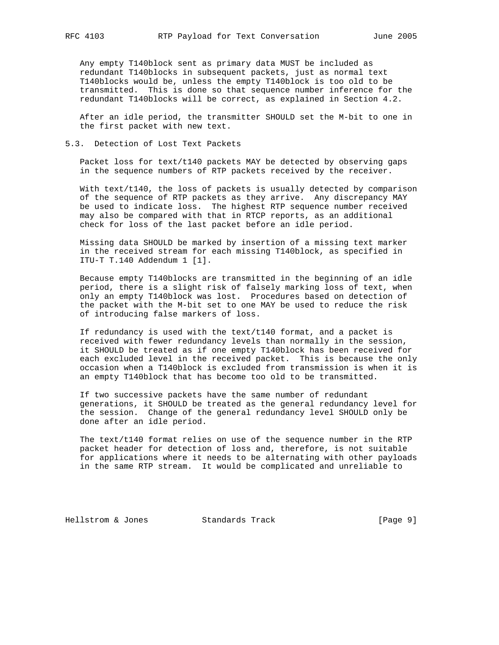Any empty T140block sent as primary data MUST be included as redundant T140blocks in subsequent packets, just as normal text T140blocks would be, unless the empty T140block is too old to be transmitted. This is done so that sequence number inference for the redundant T140blocks will be correct, as explained in Section 4.2.

 After an idle period, the transmitter SHOULD set the M-bit to one in the first packet with new text.

#### 5.3. Detection of Lost Text Packets

 Packet loss for text/t140 packets MAY be detected by observing gaps in the sequence numbers of RTP packets received by the receiver.

 With text/t140, the loss of packets is usually detected by comparison of the sequence of RTP packets as they arrive. Any discrepancy MAY be used to indicate loss. The highest RTP sequence number received may also be compared with that in RTCP reports, as an additional check for loss of the last packet before an idle period.

 Missing data SHOULD be marked by insertion of a missing text marker in the received stream for each missing T140block, as specified in ITU-T T.140 Addendum 1 [1].

 Because empty T140blocks are transmitted in the beginning of an idle period, there is a slight risk of falsely marking loss of text, when only an empty T140block was lost. Procedures based on detection of the packet with the M-bit set to one MAY be used to reduce the risk of introducing false markers of loss.

 If redundancy is used with the text/t140 format, and a packet is received with fewer redundancy levels than normally in the session, it SHOULD be treated as if one empty T140block has been received for each excluded level in the received packet. This is because the only occasion when a T140block is excluded from transmission is when it is an empty T140block that has become too old to be transmitted.

 If two successive packets have the same number of redundant generations, it SHOULD be treated as the general redundancy level for the session. Change of the general redundancy level SHOULD only be done after an idle period.

 The text/t140 format relies on use of the sequence number in the RTP packet header for detection of loss and, therefore, is not suitable for applications where it needs to be alternating with other payloads in the same RTP stream. It would be complicated and unreliable to

Hellstrom & Jones Standards Track [Page 9]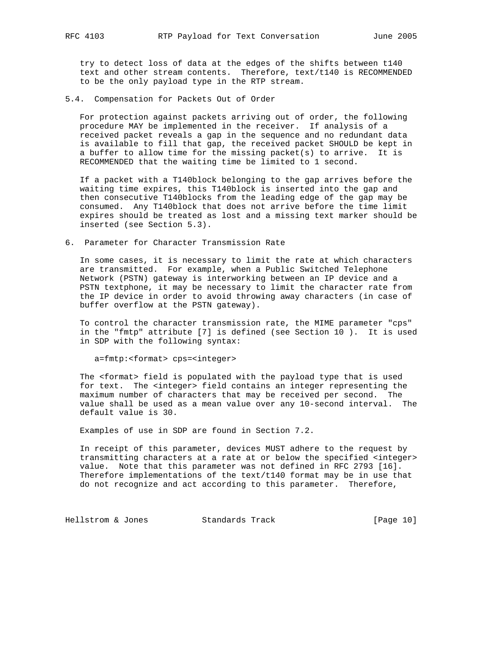try to detect loss of data at the edges of the shifts between t140 text and other stream contents. Therefore, text/t140 is RECOMMENDED to be the only payload type in the RTP stream.

5.4. Compensation for Packets Out of Order

 For protection against packets arriving out of order, the following procedure MAY be implemented in the receiver. If analysis of a received packet reveals a gap in the sequence and no redundant data is available to fill that gap, the received packet SHOULD be kept in a buffer to allow time for the missing packet(s) to arrive. It is RECOMMENDED that the waiting time be limited to 1 second.

 If a packet with a T140block belonging to the gap arrives before the waiting time expires, this T140block is inserted into the gap and then consecutive T140blocks from the leading edge of the gap may be consumed. Any T140block that does not arrive before the time limit expires should be treated as lost and a missing text marker should be inserted (see Section 5.3).

6. Parameter for Character Transmission Rate

 In some cases, it is necessary to limit the rate at which characters are transmitted. For example, when a Public Switched Telephone Network (PSTN) gateway is interworking between an IP device and a PSTN textphone, it may be necessary to limit the character rate from the IP device in order to avoid throwing away characters (in case of buffer overflow at the PSTN gateway).

 To control the character transmission rate, the MIME parameter "cps" in the "fmtp" attribute [7] is defined (see Section 10 ). It is used in SDP with the following syntax:

a=fmtp:<format> cps=<integer>

 The <format> field is populated with the payload type that is used for text. The <integer> field contains an integer representing the maximum number of characters that may be received per second. The value shall be used as a mean value over any 10-second interval. The default value is 30.

Examples of use in SDP are found in Section 7.2.

 In receipt of this parameter, devices MUST adhere to the request by transmitting characters at a rate at or below the specified <integer> value. Note that this parameter was not defined in RFC 2793 [16]. Therefore implementations of the text/t140 format may be in use that do not recognize and act according to this parameter. Therefore,

Hellstrom & Jones Standards Track [Page 10]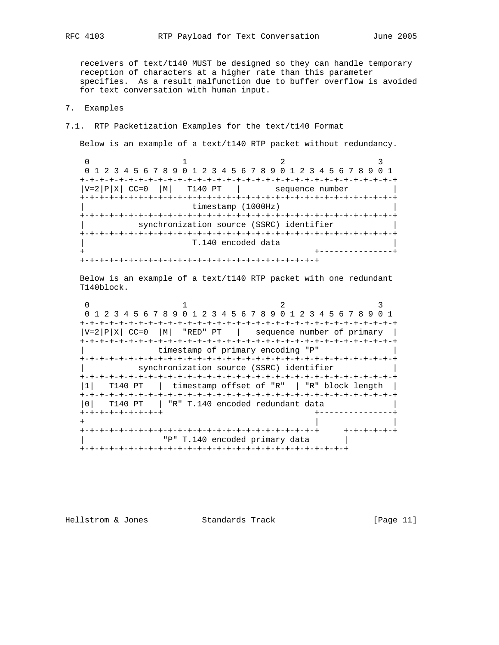receivers of text/t140 MUST be designed so they can handle temporary reception of characters at a higher rate than this parameter specifies. As a result malfunction due to buffer overflow is avoided for text conversation with human input.

## 7. Examples

7.1. RTP Packetization Examples for the text/t140 Format

Below is an example of a text/t140 RTP packet without redundancy.

0  $1$  2 3 0 1 2 3 4 5 6 7 8 9 0 1 2 3 4 5 6 7 8 9 0 1 2 3 4 5 6 7 8 9 0 1 +-+-+-+-+-+-+-+-+-+-+-+-+-+-+-+-+-+-+-+-+-+-+-+-+-+-+-+-+-+-+-+-+  $|V=2|P|X|$  CC=0  $|M|$  T140 PT | sequence number +-+-+-+-+-+-+-+-+-+-+-+-+-+-+-+-+-+-+-+-+-+-+-+-+-+-+-+-+-+-+-+-+ timestamp (1000Hz) +-+-+-+-+-+-+-+-+-+-+-+-+-+-+-+-+-+-+-+-+-+-+-+-+-+-+-+-+-+-+-+-+ synchronization source (SSRC) identifier +-+-+-+-+-+-+-+-+-+-+-+-+-+-+-+-+-+-+-+-+-+-+-+-+-+-+-+-+-+-+-+-+ T.140 encoded data + +---------------+ +-+-+-+-+-+-+-+-+-+-+-+-+-+-+-+-+-+-+-+-+-+-+-+-+

 Below is an example of a text/t140 RTP packet with one redundant T140block.

0  $1$  2 3 0 1 2 3 4 5 6 7 8 9 0 1 2 3 4 5 6 7 8 9 0 1 2 3 4 5 6 7 8 9 0 1 +-+-+-+-+-+-+-+-+-+-+-+-+-+-+-+-+-+-+-+-+-+-+-+-+-+-+-+-+-+-+-+-+  $|V=2|P|X|$  CC=0  $|M|$  "RED" PT | sequence number of primary | +-+-+-+-+-+-+-+-+-+-+-+-+-+-+-+-+-+-+-+-+-+-+-+-+-+-+-+-+-+-+-+-+ timestamp of primary encoding "P" +-+-+-+-+-+-+-+-+-+-+-+-+-+-+-+-+-+-+-+-+-+-+-+-+-+-+-+-+-+-+-+-+ synchronization source (SSRC) identifier +-+-+-+-+-+-+-+-+-+-+-+-+-+-+-+-+-+-+-+-+-+-+-+-+-+-+-+-+-+-+-+-+ |1| T140 PT | timestamp offset of "R" | "R" block length | +-+-+-+-+-+-+-+-+-+-+-+-+-+-+-+-+-+-+-+-+-+-+-+-+-+-+-+-+-+-+-+-+ |0| T140 PT | "R" T.140 encoded redundant data | +-+-+-+-+-+-+-+-+ +---------------+ + | | +-+-+-+-+-+-+-+-+-+-+-+-+-+-+-+-+-+-+-+-+-+-+-+-+ +-+-+-+-+-+ | "P" T.140 encoded primary data | +-+-+-+-+-+-+-+-+-+-+-+-+-+-+-+-+-+-+-+-+-+-+-+-+-+-+-+

Hellstrom & Jones Standards Track [Page 11]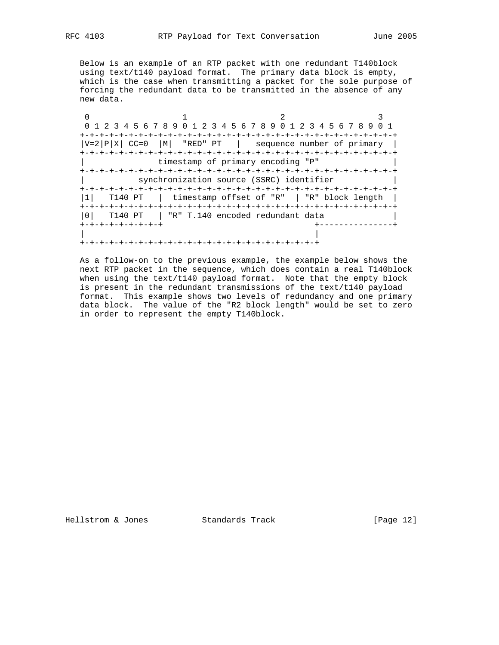Below is an example of an RTP packet with one redundant T140block using text/t140 payload format. The primary data block is empty, which is the case when transmitting a packet for the sole purpose of forcing the redundant data to be transmitted in the absence of any new data.

|                  | 0 1 2 3 4 5 6 7 8 9 0 1 2 3 4 5 6 7 8 9 0 1 2 3 4 5 6 7 8 9 0 1 |  |
|------------------|-----------------------------------------------------------------|--|
|                  |                                                                 |  |
|                  | $ V=2 P X $ CC=0 $ M $ "RED" PT   sequence number of primary    |  |
|                  |                                                                 |  |
|                  | timestamp of primary encoding "P"                               |  |
|                  |                                                                 |  |
|                  | synchronization source (SSRC) identifier                        |  |
|                  |                                                                 |  |
|                  | T140 PT   timestamp offset of "R"   "R" block length            |  |
|                  |                                                                 |  |
|                  | T140 PT   "R" T.140 encoded redundant data                      |  |
| -+-+-+-+-+-+-+-+ |                                                                 |  |
|                  |                                                                 |  |
|                  |                                                                 |  |

 As a follow-on to the previous example, the example below shows the next RTP packet in the sequence, which does contain a real T140block when using the text/t140 payload format. Note that the empty block is present in the redundant transmissions of the text/t140 payload format. This example shows two levels of redundancy and one primary data block. The value of the "R2 block length" would be set to zero in order to represent the empty T140block.

Hellstrom & Jones Standards Track [Page 12]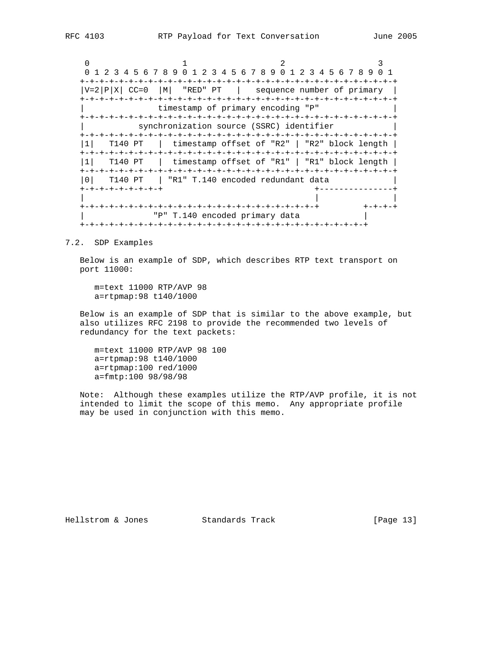0  $1$  2 3 0 1 2 3 4 5 6 7 8 9 0 1 2 3 4 5 6 7 8 9 0 1 2 3 4 5 6 7 8 9 0 1 +-+-+-+-+-+-+-+-+-+-+-+-+-+-+-+-+-+-+-+-+-+-+-+-+-+-+-+-+-+-+-+-+  $|V=2|P|X|$  CC=0  $|M|$  "RED" PT | sequence number of primary | +-+-+-+-+-+-+-+-+-+-+-+-+-+-+-+-+-+-+-+-+-+-+-+-+-+-+-+-+-+-+-+-+ timestamp of primary encoding "P" +-+-+-+-+-+-+-+-+-+-+-+-+-+-+-+-+-+-+-+-+-+-+-+-+-+-+-+-+-+-+-+-+ synchronization source (SSRC) identifier +-+-+-+-+-+-+-+-+-+-+-+-+-+-+-+-+-+-+-+-+-+-+-+-+-+-+-+-+-+-+-+-+ |1| T140 PT | timestamp offset of "R2" | "R2" block length | +-+-+-+-+-+-+-+-+-+-+-+-+-+-+-+-+-+-+-+-+-+-+-+-+-+-+-+-+-+-+-+-+ |1| T140 PT | timestamp offset of "R1" | "R1" block length | +-+-+-+-+-+-+-+-+-+-+-+-+-+-+-+-+-+-+-+-+-+-+-+-+-+-+-+-+-+-+-+-+ |0| T140 PT | "R1" T.140 encoded redundant data | +-+-+-+-+-+-+-+-+ +---------------+ | | | +-+-+-+-+-+-+-+-+-+-+-+-+-+-+-+-+-+-+-+-+-+-+-+-+ +-+-+-+ | "P" T.140 encoded primary data | +-+-+-+-+-+-+-+-+-+-+-+-+-+-+-+-+-+-+-+-+-+-+-+-+-+-+-+-+-+

7.2. SDP Examples

 Below is an example of SDP, which describes RTP text transport on port 11000:

 m=text 11000 RTP/AVP 98 a=rtpmap:98 t140/1000

 Below is an example of SDP that is similar to the above example, but also utilizes RFC 2198 to provide the recommended two levels of redundancy for the text packets:

 m=text 11000 RTP/AVP 98 100 a=rtpmap:98 t140/1000 a=rtpmap:100 red/1000 a=fmtp:100 98/98/98

 Note: Although these examples utilize the RTP/AVP profile, it is not intended to limit the scope of this memo. Any appropriate profile may be used in conjunction with this memo.

Hellstrom & Jones Standards Track [Page 13]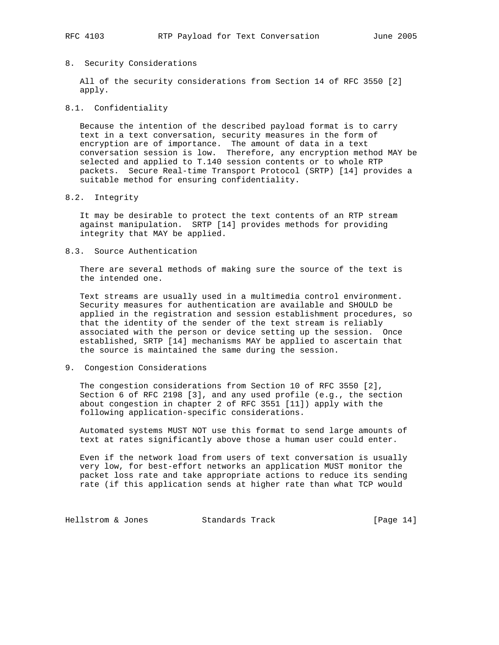### 8. Security Considerations

 All of the security considerations from Section 14 of RFC 3550 [2] apply.

## 8.1. Confidentiality

 Because the intention of the described payload format is to carry text in a text conversation, security measures in the form of encryption are of importance. The amount of data in a text conversation session is low. Therefore, any encryption method MAY be selected and applied to T.140 session contents or to whole RTP packets. Secure Real-time Transport Protocol (SRTP) [14] provides a suitable method for ensuring confidentiality.

### 8.2. Integrity

 It may be desirable to protect the text contents of an RTP stream against manipulation. SRTP [14] provides methods for providing integrity that MAY be applied.

#### 8.3. Source Authentication

 There are several methods of making sure the source of the text is the intended one.

 Text streams are usually used in a multimedia control environment. Security measures for authentication are available and SHOULD be applied in the registration and session establishment procedures, so that the identity of the sender of the text stream is reliably associated with the person or device setting up the session. Once established, SRTP [14] mechanisms MAY be applied to ascertain that the source is maintained the same during the session.

9. Congestion Considerations

 The congestion considerations from Section 10 of RFC 3550 [2], Section 6 of RFC 2198 [3], and any used profile (e.g., the section about congestion in chapter 2 of RFC 3551 [11]) apply with the following application-specific considerations.

 Automated systems MUST NOT use this format to send large amounts of text at rates significantly above those a human user could enter.

 Even if the network load from users of text conversation is usually very low, for best-effort networks an application MUST monitor the packet loss rate and take appropriate actions to reduce its sending rate (if this application sends at higher rate than what TCP would

Hellstrom & Jones Standards Track [Page 14]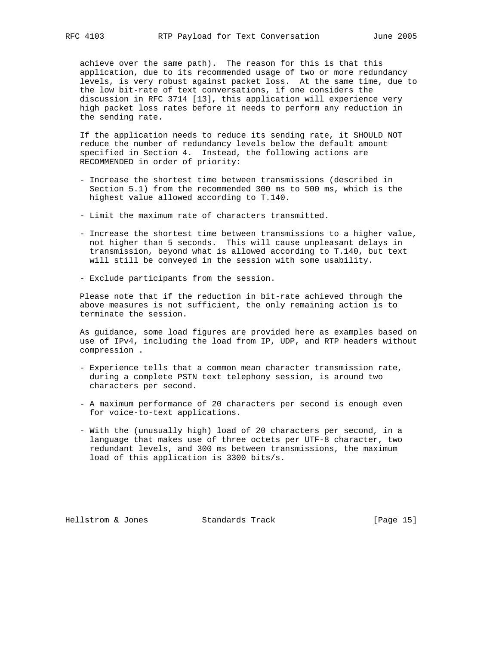achieve over the same path). The reason for this is that this application, due to its recommended usage of two or more redundancy levels, is very robust against packet loss. At the same time, due to the low bit-rate of text conversations, if one considers the discussion in RFC 3714 [13], this application will experience very high packet loss rates before it needs to perform any reduction in the sending rate.

 If the application needs to reduce its sending rate, it SHOULD NOT reduce the number of redundancy levels below the default amount specified in Section 4. Instead, the following actions are RECOMMENDED in order of priority:

- Increase the shortest time between transmissions (described in Section 5.1) from the recommended 300 ms to 500 ms, which is the highest value allowed according to T.140.
- Limit the maximum rate of characters transmitted.
- Increase the shortest time between transmissions to a higher value, not higher than 5 seconds. This will cause unpleasant delays in transmission, beyond what is allowed according to T.140, but text will still be conveyed in the session with some usability.
- Exclude participants from the session.

 Please note that if the reduction in bit-rate achieved through the above measures is not sufficient, the only remaining action is to terminate the session.

 As guidance, some load figures are provided here as examples based on use of IPv4, including the load from IP, UDP, and RTP headers without compression .

- Experience tells that a common mean character transmission rate, during a complete PSTN text telephony session, is around two characters per second.
- A maximum performance of 20 characters per second is enough even for voice-to-text applications.
- With the (unusually high) load of 20 characters per second, in a language that makes use of three octets per UTF-8 character, two redundant levels, and 300 ms between transmissions, the maximum load of this application is 3300 bits/s.

Hellstrom & Jones Standards Track [Page 15]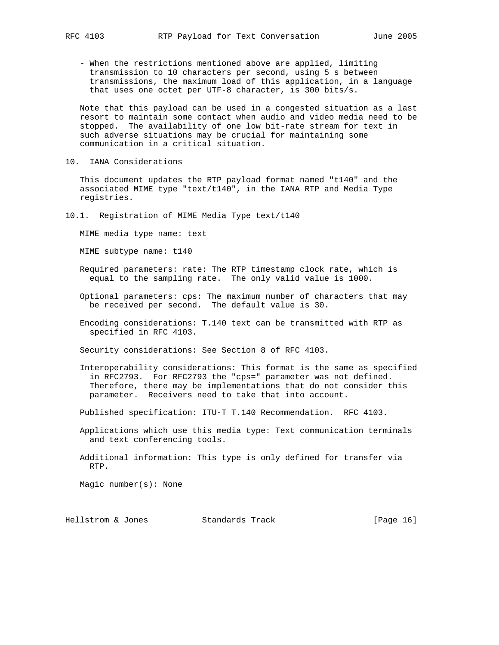- When the restrictions mentioned above are applied, limiting transmission to 10 characters per second, using 5 s between transmissions, the maximum load of this application, in a language that uses one octet per UTF-8 character, is 300 bits/s.

 Note that this payload can be used in a congested situation as a last resort to maintain some contact when audio and video media need to be stopped. The availability of one low bit-rate stream for text in such adverse situations may be crucial for maintaining some communication in a critical situation.

10. IANA Considerations

 This document updates the RTP payload format named "t140" and the associated MIME type "text/t140", in the IANA RTP and Media Type registries.

10.1. Registration of MIME Media Type text/t140

MIME media type name: text

MIME subtype name: t140

- Required parameters: rate: The RTP timestamp clock rate, which is equal to the sampling rate. The only valid value is 1000.
- Optional parameters: cps: The maximum number of characters that may be received per second. The default value is 30.
- Encoding considerations: T.140 text can be transmitted with RTP as specified in RFC 4103.

Security considerations: See Section 8 of RFC 4103.

 Interoperability considerations: This format is the same as specified in RFC2793. For RFC2793 the "cps=" parameter was not defined. Therefore, there may be implementations that do not consider this parameter. Receivers need to take that into account.

Published specification: ITU-T T.140 Recommendation. RFC 4103.

- Applications which use this media type: Text communication terminals and text conferencing tools.
- Additional information: This type is only defined for transfer via RTP.

Magic number(s): None

Hellstrom & Jones Standards Track [Page 16]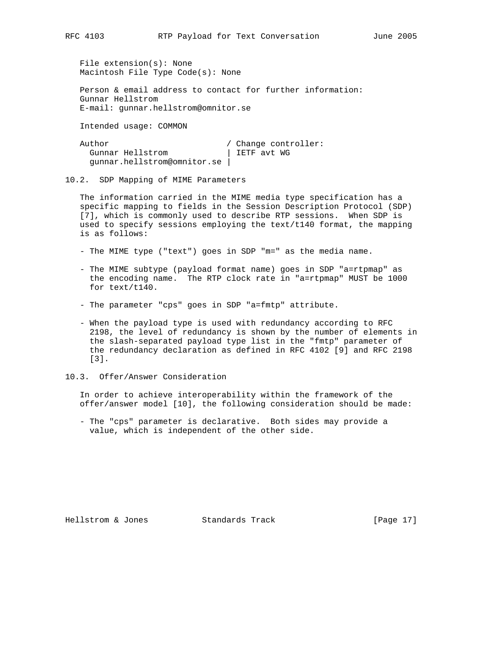File extension(s): None Macintosh File Type Code(s): None

 Person & email address to contact for further information: Gunnar Hellstrom E-mail: gunnar.hellstrom@omnitor.se

Intended usage: COMMON

| Author                      | / Change controller: |
|-----------------------------|----------------------|
| Gunnar Hellstrom            | IETF avt WG          |
| gunnar.hellstrom@omnitor.se |                      |

10.2. SDP Mapping of MIME Parameters

 The information carried in the MIME media type specification has a specific mapping to fields in the Session Description Protocol (SDP) [7], which is commonly used to describe RTP sessions. When SDP is used to specify sessions employing the text/t140 format, the mapping is as follows:

- The MIME type ("text") goes in SDP "m=" as the media name.
- The MIME subtype (payload format name) goes in SDP "a=rtpmap" as the encoding name. The RTP clock rate in "a=rtpmap" MUST be 1000 for text/t140.
- The parameter "cps" goes in SDP "a=fmtp" attribute.
- When the payload type is used with redundancy according to RFC 2198, the level of redundancy is shown by the number of elements in the slash-separated payload type list in the "fmtp" parameter of the redundancy declaration as defined in RFC 4102 [9] and RFC 2198 [3].
- 10.3. Offer/Answer Consideration

 In order to achieve interoperability within the framework of the offer/answer model [10], the following consideration should be made:

 - The "cps" parameter is declarative. Both sides may provide a value, which is independent of the other side.

Hellstrom & Jones Standards Track [Page 17]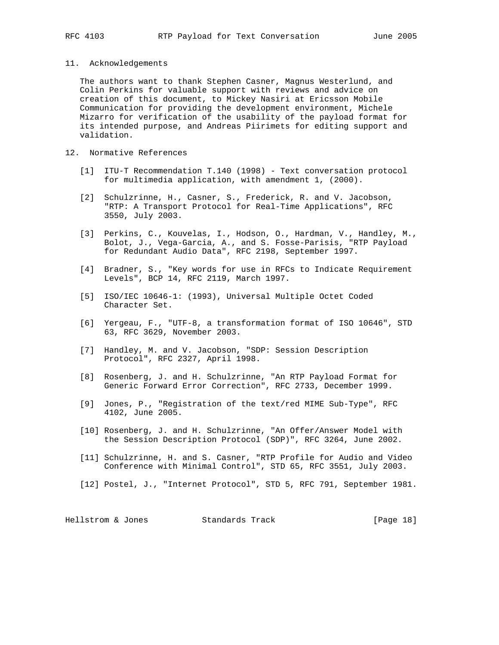11. Acknowledgements

 The authors want to thank Stephen Casner, Magnus Westerlund, and Colin Perkins for valuable support with reviews and advice on creation of this document, to Mickey Nasiri at Ericsson Mobile Communication for providing the development environment, Michele Mizarro for verification of the usability of the payload format for its intended purpose, and Andreas Piirimets for editing support and validation.

- 12. Normative References
	- [1] ITU-T Recommendation T.140 (1998) Text conversation protocol for multimedia application, with amendment 1, (2000).
	- [2] Schulzrinne, H., Casner, S., Frederick, R. and V. Jacobson, "RTP: A Transport Protocol for Real-Time Applications", RFC 3550, July 2003.
	- [3] Perkins, C., Kouvelas, I., Hodson, O., Hardman, V., Handley, M., Bolot, J., Vega-Garcia, A., and S. Fosse-Parisis, "RTP Payload for Redundant Audio Data", RFC 2198, September 1997.
	- [4] Bradner, S., "Key words for use in RFCs to Indicate Requirement Levels", BCP 14, RFC 2119, March 1997.
	- [5] ISO/IEC 10646-1: (1993), Universal Multiple Octet Coded Character Set.
	- [6] Yergeau, F., "UTF-8, a transformation format of ISO 10646", STD 63, RFC 3629, November 2003.
	- [7] Handley, M. and V. Jacobson, "SDP: Session Description Protocol", RFC 2327, April 1998.
	- [8] Rosenberg, J. and H. Schulzrinne, "An RTP Payload Format for Generic Forward Error Correction", RFC 2733, December 1999.
	- [9] Jones, P., "Registration of the text/red MIME Sub-Type", RFC 4102, June 2005.
	- [10] Rosenberg, J. and H. Schulzrinne, "An Offer/Answer Model with the Session Description Protocol (SDP)", RFC 3264, June 2002.
	- [11] Schulzrinne, H. and S. Casner, "RTP Profile for Audio and Video Conference with Minimal Control", STD 65, RFC 3551, July 2003.
	- [12] Postel, J., "Internet Protocol", STD 5, RFC 791, September 1981.

Hellstrom & Jones Standards Track [Page 18]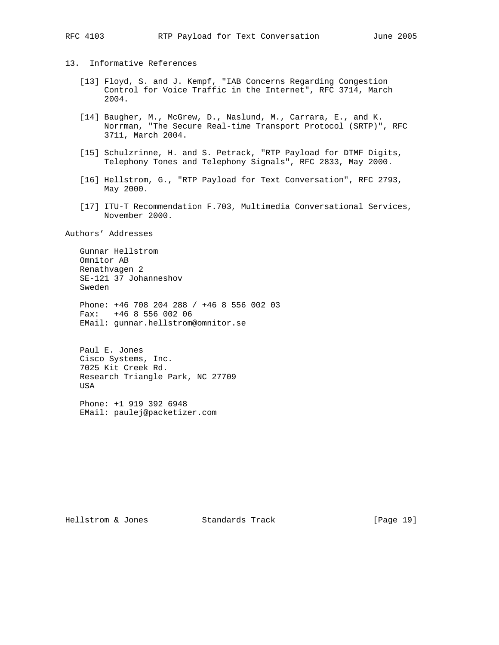13. Informative References

- [13] Floyd, S. and J. Kempf, "IAB Concerns Regarding Congestion Control for Voice Traffic in the Internet", RFC 3714, March 2004.
- [14] Baugher, M., McGrew, D., Naslund, M., Carrara, E., and K. Norrman, "The Secure Real-time Transport Protocol (SRTP)", RFC 3711, March 2004.
- [15] Schulzrinne, H. and S. Petrack, "RTP Payload for DTMF Digits, Telephony Tones and Telephony Signals", RFC 2833, May 2000.
- [16] Hellstrom, G., "RTP Payload for Text Conversation", RFC 2793, May 2000.
- [17] ITU-T Recommendation F.703, Multimedia Conversational Services, November 2000.

Authors' Addresses

 Gunnar Hellstrom Omnitor AB Renathvagen 2 SE-121 37 Johanneshov Sweden

 Phone: +46 708 204 288 / +46 8 556 002 03 Fax: +46 8 556 002 06 EMail: gunnar.hellstrom@omnitor.se

 Paul E. Jones Cisco Systems, Inc. 7025 Kit Creek Rd. Research Triangle Park, NC 27709 **USA** 

 Phone: +1 919 392 6948 EMail: paulej@packetizer.com

Hellstrom & Jones Standards Track [Page 19]